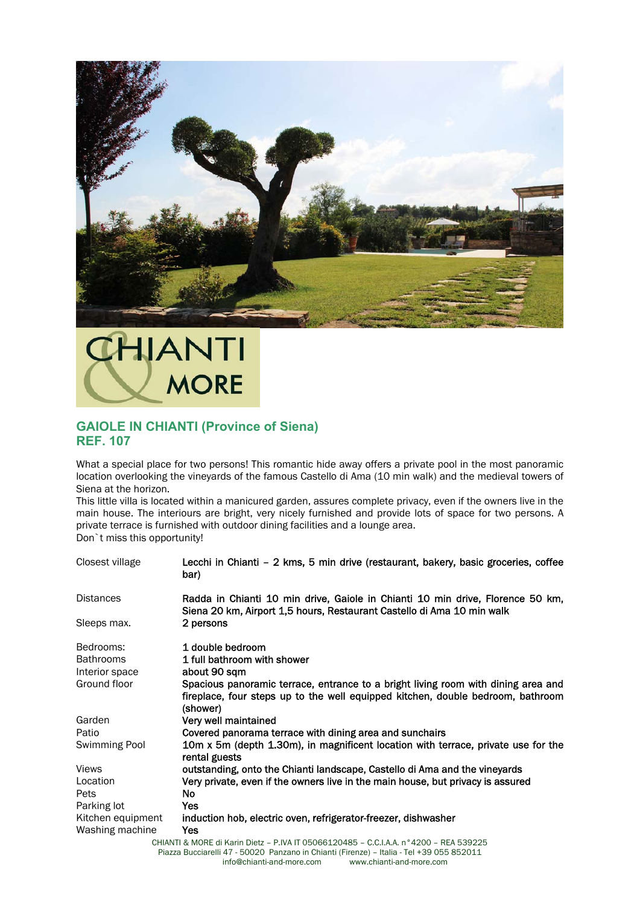

## IHJANTI **MORE**

## **GAIOLE IN CHIANTI (Province of Siena) REF. 107**

What a special place for two persons! This romantic hide away offers a private pool in the most panoramic location overlooking the vineyards of the famous Castello di Ama (10 min walk) and the medieval towers of Siena at the horizon.

This little villa is located within a manicured garden, assures complete privacy, even if the owners live in the main house. The interiours are bright, very nicely furnished and provide lots of space for two persons. A private terrace is furnished with outdoor dining facilities and a lounge area.

Don`t miss this opportunity!

| Closest village   | Lecchi in Chianti - 2 kms, 5 min drive (restaurant, bakery, basic groceries, coffee<br>bar)                                                                                      |
|-------------------|----------------------------------------------------------------------------------------------------------------------------------------------------------------------------------|
| <b>Distances</b>  | Radda in Chianti 10 min drive, Gaiole in Chianti 10 min drive, Florence 50 km,<br>Siena 20 km, Airport 1,5 hours, Restaurant Castello di Ama 10 min walk                         |
| Sleeps max.       | 2 persons                                                                                                                                                                        |
| Bedrooms:         | 1 double bedroom                                                                                                                                                                 |
| <b>Bathrooms</b>  | 1 full bathroom with shower                                                                                                                                                      |
| Interior space    | about 90 sqm                                                                                                                                                                     |
| Ground floor      | Spacious panoramic terrace, entrance to a bright living room with dining area and<br>fireplace, four steps up to the well equipped kitchen, double bedroom, bathroom<br>(shower) |
| Garden            | Very well maintained                                                                                                                                                             |
| Patio             | Covered panorama terrace with dining area and sunchairs                                                                                                                          |
| Swimming Pool     | 10m x 5m (depth 1.30m), in magnificent location with terrace, private use for the<br>rental guests                                                                               |
| <b>Views</b>      | outstanding, onto the Chianti landscape, Castello di Ama and the vineyards                                                                                                       |
| Location          | Very private, even if the owners live in the main house, but privacy is assured                                                                                                  |
| Pets              | No.                                                                                                                                                                              |
| Parking lot       | Yes                                                                                                                                                                              |
| Kitchen equipment | induction hob, electric oven, refrigerator-freezer, dishwasher                                                                                                                   |
| Washing machine   | Yes.                                                                                                                                                                             |
|                   | CHIANTI & MORE di Karin Dietz - P IVA IT 05066120485 - C C L A A nº 4200 - REA 539225                                                                                            |

CHIANTI & MORE di Karin Dietz – P.IVA IT 05066120485 – C.C.I.A.A. n°4200 – REA 539225 Piazza Bucciarelli 47 - 50020 Panzano in Chianti (Firenze) – Italia - Tel +39 055 852011 info@chianti-and-more.com www.chianti-and-more.com